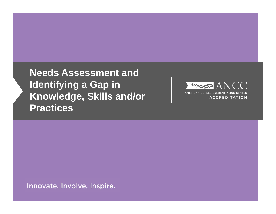**Needs Assessment and Identifying a Gap in Knowledge, Skills and/or Practices**



Innovate. Involve. Inspire.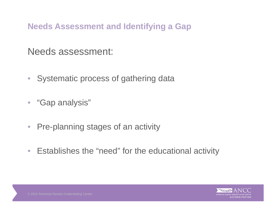Needs assessment:

- $\bullet$ Systematic process of gathering data
- "Gap analysis"
- $\bullet$ Pre-planning stages of an activity
- $\bullet$ Establishes the "need" for the educational activity

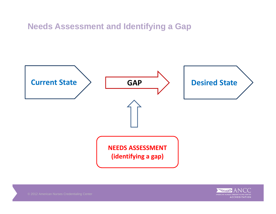

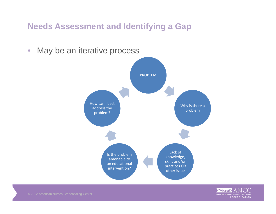



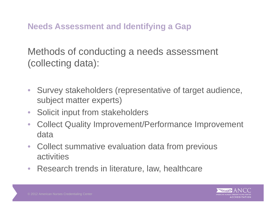Methods of conducting a needs assessment (collecting data):

- Survey stakeholders (representative of target audience, subject matter experts)
- $\bullet$ Solicit input from stakeholders
- $\bullet$  Collect Quality Improvement/Performance Improvement data
- $\bullet$  Collect summative evaluation data from previous activities
- Research trends in literature, law, healthcare

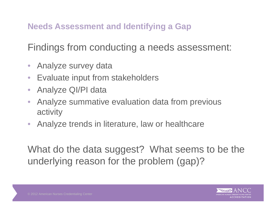Findings from conducting a needs assessment:

- $\bullet$ Analyze survey data
- $\bullet$ Evaluate input from stakeholders
- $\bullet$ Analyze QI/PI data
- $\bullet$  Analyze summative evaluation data from previous activity
- Analyze trends in literature, law or healthcare

What do the data suggest? What seems to be the underlying reason for the problem (gap)?

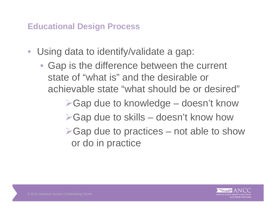## **Educational Design Process**

- • Using data to identify/validate a gap:
	- Gap is the difference between the current state of "what is" and the desirable or achievable state "what should be or desired"
		- ▶Gap due to knowledge doesn't know
		- $\triangleright$  Gap due to skills doesn't know how
		- $\triangleright$  Gap due to practices not able to show or do in practice

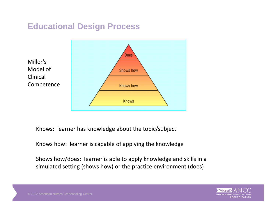## **Educational Design Process**



Knows: learner has knowledge about the topic/subject

Knows how: learner is capable of applying the knowledge

Shows how/does: learner is able to apply knowledge and skills in <sup>a</sup> simulated setting (shows how) or the practice environment (does)

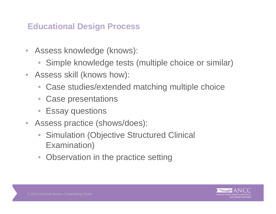## **Educational Design Process**

- Assess knowledge (knows):
	- $\bullet$ Simple knowledge tests (multiple choice or similar)
- Assess skill (knows how):
	- $\bullet$ Case studies/extended matching multiple choice
	- $\bullet$ Case presentations
	- $\bullet$ Essay questions
- Assess practice (shows/does):
	- • Simulation (Objective Structured Clinical Examination)
	- $\bullet$ Observation in the practice setting

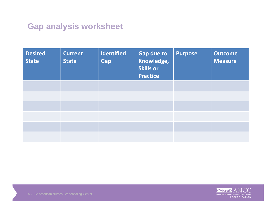## **Gap analysis worksheet**

| <b>Desired</b><br><b>State</b> | <b>Current</b><br><b>State</b> | <b>Identified</b><br>Gap | <b>Gap due to</b><br>Knowledge,<br><b>Skills or</b><br><b>Practice</b> | <b>Purpose</b> | <b>Outcome</b><br><b>Measure</b> |
|--------------------------------|--------------------------------|--------------------------|------------------------------------------------------------------------|----------------|----------------------------------|
|                                |                                |                          |                                                                        |                |                                  |
|                                |                                |                          |                                                                        |                |                                  |
|                                |                                |                          |                                                                        |                |                                  |
|                                |                                |                          |                                                                        |                |                                  |
|                                |                                |                          |                                                                        |                |                                  |
|                                |                                |                          |                                                                        |                |                                  |

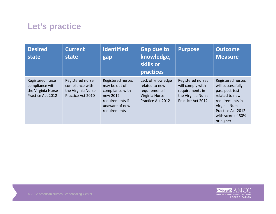## **Let's practice**

| <b>Desired</b><br>state                                                        | <b>Current</b><br>state                                                        | <b>Identified</b><br>gap                                                                                               | <b>Gap due to</b><br>knowledge,<br>skills or<br>practices                                     | <b>Purpose</b>                                                                                      | <b>Outcome</b><br><b>Measure</b>                                                                                                                                       |
|--------------------------------------------------------------------------------|--------------------------------------------------------------------------------|------------------------------------------------------------------------------------------------------------------------|-----------------------------------------------------------------------------------------------|-----------------------------------------------------------------------------------------------------|------------------------------------------------------------------------------------------------------------------------------------------------------------------------|
| Registered nurse<br>compliance with<br>the Virginia Nurse<br>Practice Act 2012 | Registered nurse<br>compliance with<br>the Virginia Nurse<br>Practice Act 2010 | Registered nurses<br>may be out of<br>compliance with<br>new 2012<br>requirements if<br>unaware of new<br>requirements | Lack of knowledge<br>related to new<br>requirements in<br>Virginia Nurse<br>Practice Act 2012 | Registered nurses<br>will comply with<br>requirements in<br>the Virginia Nurse<br>Practice Act 2012 | Registered nurses<br>will successfully<br>pass post-test<br>related to new<br>requirements in<br>Virginia Nurse<br>Practice Act 2012<br>with score of 80%<br>or higher |

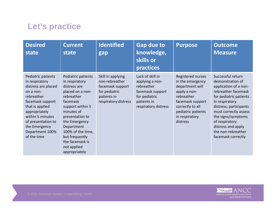# **Let's practice**

| <b>Desired</b><br>state                                                                                                                                                                                                                     | <b>Current</b><br>state                                                                                                                                                                                                                                                          | <b>Identified</b><br>gap                                                                                        | <b>Gap due to</b><br>knowledge,<br>skills or<br><b>practices</b>                                                              | <b>Purpose</b>                                                                                                                                                                     | <b>Outcome</b><br><b>Measure</b>                                                                                                                                                                                                                                                               |
|---------------------------------------------------------------------------------------------------------------------------------------------------------------------------------------------------------------------------------------------|----------------------------------------------------------------------------------------------------------------------------------------------------------------------------------------------------------------------------------------------------------------------------------|-----------------------------------------------------------------------------------------------------------------|-------------------------------------------------------------------------------------------------------------------------------|------------------------------------------------------------------------------------------------------------------------------------------------------------------------------------|------------------------------------------------------------------------------------------------------------------------------------------------------------------------------------------------------------------------------------------------------------------------------------------------|
| Pediatric patients<br>in respiratory<br>distress are placed<br>on a non-<br>rebreather<br>facemask support<br>that is applied<br>appropriately<br>within 5 minutes<br>of presentation to<br>the Emergency<br>Department 100%<br>of the time | Pediatric patients<br>in respiratory<br>distress are<br>placed on a non-<br>rebreather<br>facemask<br>support within 5<br>minutes of<br>presentation to<br>the Emergency<br>Department<br>100% of the time,<br>but frequently<br>the facemask is<br>not applied<br>appropriately | Skill in applying<br>non-rebreather<br>facemask support<br>for pediatric<br>patients in<br>respiratory distress | Lack of skill in<br>applying a non-<br>rebreather<br>facemask support<br>for pediatric<br>patients in<br>respiratory distress | Registered nurses<br>in the emergency<br>department will<br>apply a non-<br>rebreather<br>facemask support<br>correctly to all<br>pediatric patients<br>in respiratory<br>distress | Successful return<br>demonstration of<br>application of a non-<br>rebreather facemask<br>for pediatric patients<br>in respiratory<br>distress; participants<br>must correctly assess<br>the signs/symptoms<br>of respiratory<br>distress and apply<br>the non-rebreather<br>facemask correctly |

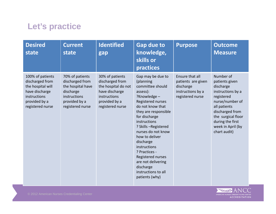# **Let's practice**

| <b>Desired</b><br>state                                                                                                         | <b>Current</b><br>state                                                                                                   | <b>Identified</b><br>gap                                                                                                         | <b>Gap due to</b><br>knowledge,<br>skills or<br>practices                                                                                                                                                                                                                                                                                                                                        | <b>Purpose</b>                                                                              | <b>Outcome</b><br><b>Measure</b>                                                                                                                                                                                 |
|---------------------------------------------------------------------------------------------------------------------------------|---------------------------------------------------------------------------------------------------------------------------|----------------------------------------------------------------------------------------------------------------------------------|--------------------------------------------------------------------------------------------------------------------------------------------------------------------------------------------------------------------------------------------------------------------------------------------------------------------------------------------------------------------------------------------------|---------------------------------------------------------------------------------------------|------------------------------------------------------------------------------------------------------------------------------------------------------------------------------------------------------------------|
| 100% of patients<br>discharged from<br>the hospital will<br>have discharge<br>instructions<br>provided by a<br>registered nurse | 70% of patients<br>discharged from<br>the hospital have<br>discharge<br>instructions<br>provided by a<br>registered nurse | 30% of patients<br>discharged from<br>the hospital do not<br>have discharge<br>instructions<br>provided by a<br>registered nurse | Gap may be due to<br>(planning<br>committee should<br>assess):<br>?Knowledge -<br>Registered nurses<br>do not know that<br>they are responsible<br>for discharge<br>instructions<br>? Skills - Registered<br>nurses do not know<br>how to deliver<br>discharge<br>instructions<br>? Practices -<br>Registered nurses<br>are not delivering<br>discharge<br>instructions to all<br>patients (why) | Ensure that all<br>patients are given<br>discharge<br>instructions by a<br>registered nurse | Number of<br>patients given<br>discharge<br>instructions by a<br>registered<br>nurse/number of<br>all patients<br>discharged from<br>the surgical floor<br>during the first<br>week in April (by<br>chart audit) |

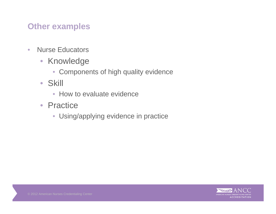## **Other examples**

- $\bullet$ • Nurse Educators
	- Knowledge
		- Components of high quality evidence
	- Skill
		- How to evaluate evidence
	- Practice
		- Using/applying evidence in practice

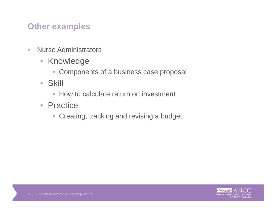## **Other examples**

- $\bullet$ • Nurse Administrators
	- Knowledge
		- Components of a business case proposal
	- Skill
		- How to calculate return on investment
	- Practice
		- Creating, tracking and revising a budget